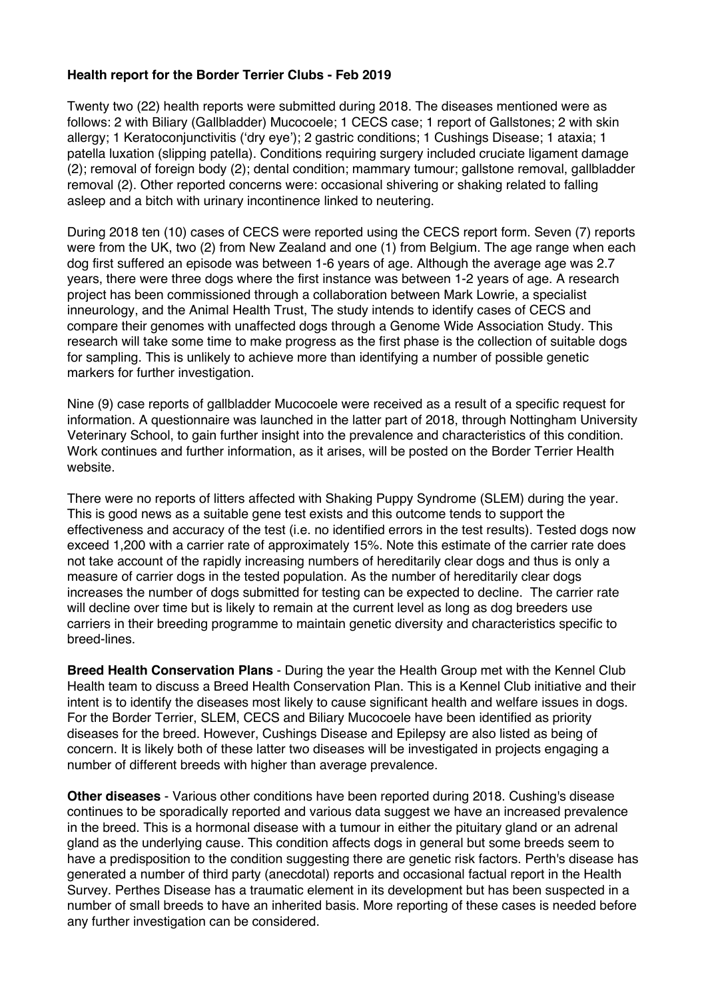## **Health report for the Border Terrier Clubs - Feb 2019**

Twenty two (22) health reports were submitted during 2018. The diseases mentioned were as follows: 2 with Biliary (Gallbladder) Mucocoele; 1 CECS case; 1 report of Gallstones; 2 with skin allergy; 1 Keratoconjunctivitis ('dry eye'); 2 gastric conditions; 1 Cushings Disease; 1 ataxia; 1 patella luxation (slipping patella). Conditions requiring surgery included cruciate ligament damage (2); removal of foreign body (2); dental condition; mammary tumour; gallstone removal, gallbladder removal (2). Other reported concerns were: occasional shivering or shaking related to falling asleep and a bitch with urinary incontinence linked to neutering.

During 2018 ten (10) cases of CECS were reported using the CECS report form. Seven (7) reports were from the UK, two (2) from New Zealand and one (1) from Belgium. The age range when each dog first suffered an episode was between 1-6 years of age. Although the average age was 2.7 years, there were three dogs where the first instance was between 1-2 years of age. A research project has been commissioned through a collaboration between Mark Lowrie, a specialist inneurology, and the Animal Health Trust, The study intends to identify cases of CECS and compare their genomes with unaffected dogs through a Genome Wide Association Study. This research will take some time to make progress as the first phase is the collection of suitable dogs for sampling. This is unlikely to achieve more than identifying a number of possible genetic markers for further investigation.

Nine (9) case reports of gallbladder Mucocoele were received as a result of a specific request for information. A questionnaire was launched in the latter part of 2018, through Nottingham University Veterinary School, to gain further insight into the prevalence and characteristics of this condition. Work continues and further information, as it arises, will be posted on the Border Terrier Health website.

There were no reports of litters affected with Shaking Puppy Syndrome (SLEM) during the year. This is good news as a suitable gene test exists and this outcome tends to support the effectiveness and accuracy of the test (i.e. no identified errors in the test results). Tested dogs now exceed 1,200 with a carrier rate of approximately 15%. Note this estimate of the carrier rate does not take account of the rapidly increasing numbers of hereditarily clear dogs and thus is only a measure of carrier dogs in the tested population. As the number of hereditarily clear dogs increases the number of dogs submitted for testing can be expected to decline. The carrier rate will decline over time but is likely to remain at the current level as long as dog breeders use carriers in their breeding programme to maintain genetic diversity and characteristics specific to breed-lines.

**Breed Health Conservation Plans** - During the year the Health Group met with the Kennel Club Health team to discuss a Breed Health Conservation Plan. This is a Kennel Club initiative and their intent is to identify the diseases most likely to cause significant health and welfare issues in dogs. For the Border Terrier, SLEM, CECS and Biliary Mucocoele have been identified as priority diseases for the breed. However, Cushings Disease and Epilepsy are also listed as being of concern. It is likely both of these latter two diseases will be investigated in projects engaging a number of different breeds with higher than average prevalence.

**Other diseases** - Various other conditions have been reported during 2018. Cushing's disease continues to be sporadically reported and various data suggest we have an increased prevalence in the breed. This is a hormonal disease with a tumour in either the pituitary gland or an adrenal gland as the underlying cause. This condition affects dogs in general but some breeds seem to have a predisposition to the condition suggesting there are genetic risk factors. Perth's disease has generated a number of third party (anecdotal) reports and occasional factual report in the Health Survey. Perthes Disease has a traumatic element in its development but has been suspected in a number of small breeds to have an inherited basis. More reporting of these cases is needed before any further investigation can be considered.